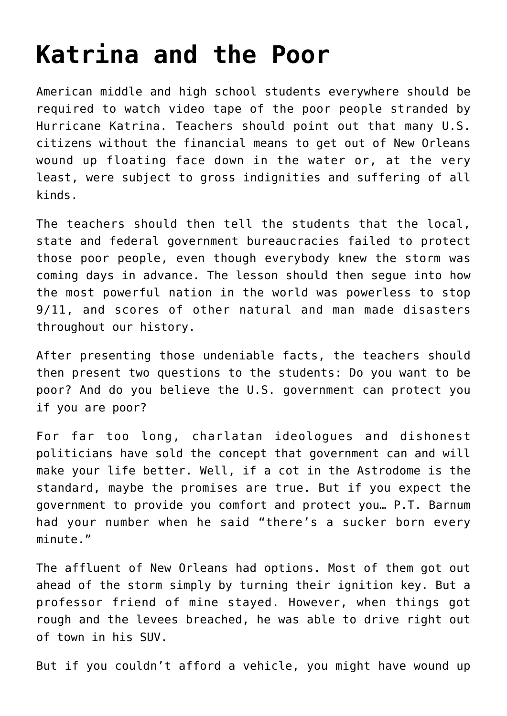## **[Katrina and the Poor](https://bernardgoldberg.com/the-new-pbs/)**

American middle and high school students everywhere should be required to watch video tape of the poor people stranded by Hurricane Katrina. Teachers should point out that many U.S. citizens without the financial means to get out of New Orleans wound up floating face down in the water or, at the very least, were subject to gross indignities and suffering of all kinds.

The teachers should then tell the students that the local, state and federal government bureaucracies failed to protect those poor people, even though everybody knew the storm was coming days in advance. The lesson should then segue into how the most powerful nation in the world was powerless to stop 9/11, and scores of other natural and man made disasters throughout our history.

After presenting those undeniable facts, the teachers should then present two questions to the students: Do you want to be poor? And do you believe the U.S. government can protect you if you are poor?

For far too long, charlatan ideologues and dishonest politicians have sold the concept that government can and will make your life better. Well, if a cot in the Astrodome is the standard, maybe the promises are true. But if you expect the government to provide you comfort and protect you… P.T. Barnum had your number when he said "there's a sucker born every minute."

The affluent of New Orleans had options. Most of them got out ahead of the storm simply by turning their ignition key. But a professor friend of mine stayed. However, when things got rough and the levees breached, he was able to drive right out of town in his SUV.

But if you couldn't afford a vehicle, you might have wound up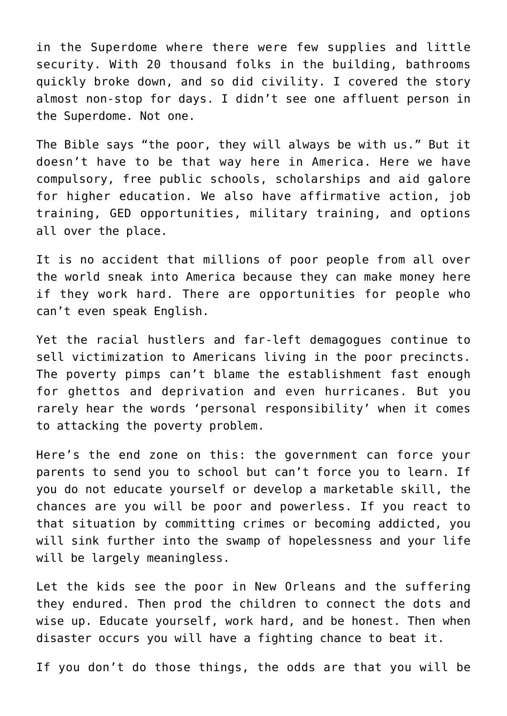in the Superdome where there were few supplies and little security. With 20 thousand folks in the building, bathrooms quickly broke down, and so did civility. I covered the story almost non-stop for days. I didn't see one affluent person in the Superdome. Not one.

The Bible says "the poor, they will always be with us." But it doesn't have to be that way here in America. Here we have compulsory, free public schools, scholarships and aid galore for higher education. We also have affirmative action, job training, GED opportunities, military training, and options all over the place.

It is no accident that millions of poor people from all over the world sneak into America because they can make money here if they work hard. There are opportunities for people who can't even speak English.

Yet the racial hustlers and far-left demagogues continue to sell victimization to Americans living in the poor precincts. The poverty pimps can't blame the establishment fast enough for ghettos and deprivation and even hurricanes. But you rarely hear the words 'personal responsibility' when it comes to attacking the poverty problem.

Here's the end zone on this: the government can force your parents to send you to school but can't force you to learn. If you do not educate yourself or develop a marketable skill, the chances are you will be poor and powerless. If you react to that situation by committing crimes or becoming addicted, you will sink further into the swamp of hopelessness and your life will be largely meaningless.

Let the kids see the poor in New Orleans and the suffering they endured. Then prod the children to connect the dots and wise up. Educate yourself, work hard, and be honest. Then when disaster occurs you will have a fighting chance to beat it.

If you don't do those things, the odds are that you will be